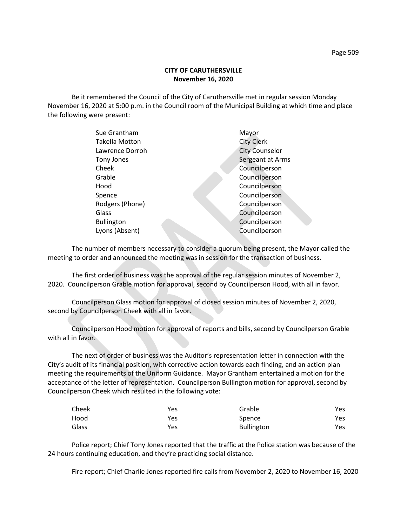## **CITY OF CARUTHERSVILLE November 16, 2020**

Be it remembered the Council of the City of Caruthersville met in regular session Monday November 16, 2020 at 5:00 p.m. in the Council room of the Municipal Building at which time and place the following were present:

| Sue Grantham          | Mayor                 |
|-----------------------|-----------------------|
| <b>Takella Motton</b> | <b>City Clerk</b>     |
| Lawrence Dorroh       | <b>City Counselor</b> |
| Tony Jones            | Sergeant at Arms      |
| Cheek                 | Councilperson         |
| Grable                | Councilperson         |
| Hood                  | Councilperson         |
| Spence                | Councilperson         |
| Rodgers (Phone)       | Councilperson         |
| Glass                 | Councilperson         |
| <b>Bullington</b>     | Councilperson         |
| Lyons (Absent)        | Councilperson         |
|                       |                       |

The number of members necessary to consider a quorum being present, the Mayor called the meeting to order and announced the meeting was in session for the transaction of business.

The first order of business was the approval of the regular session minutes of November 2, 2020. Councilperson Grable motion for approval, second by Councilperson Hood, with all in favor.

Councilperson Glass motion for approval of closed session minutes of November 2, 2020, second by Councilperson Cheek with all in favor.

Councilperson Hood motion for approval of reports and bills, second by Councilperson Grable with all in favor.

The next of order of business was the Auditor's representation letter in connection with the City's audit of its financial position, with corrective action towards each finding, and an action plan meeting the requirements of the Uniform Guidance. Mayor Grantham entertained a motion for the acceptance of the letter of representation. Councilperson Bullington motion for approval, second by Councilperson Cheek which resulted in the following vote:

| Cheek | Yes | Grable            | Yes |
|-------|-----|-------------------|-----|
| Hood  | Yes | Spence            | Yes |
| Glass | Yes | <b>Bullington</b> | Yes |

Police report; Chief Tony Jones reported that the traffic at the Police station was because of the 24 hours continuing education, and they're practicing social distance.

Fire report; Chief Charlie Jones reported fire calls from November 2, 2020 to November 16, 2020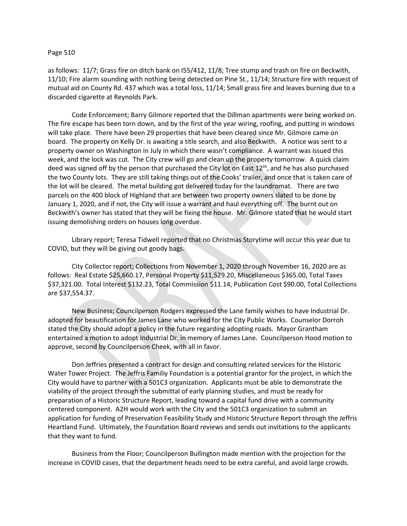## Page 510

as follows: 11/7; Grass fire on ditch bank on I55/412, 11/8; Tree stump and trash on fire on Beckwith, 11/10; Fire alarm sounding with nothing being detected on Pine St., 11/14; Structure fire with request of mutual aid on County Rd. 437 which was a total loss, 11/14; Small grass fire and leaves burning due to a discarded cigarette at Reynolds Park.

Code Enforcement; Barry Gilmore reported that the Dillman apartments were being worked on. The fire escape has been torn down, and by the first of the year wiring, roofing, and putting in windows will take place. There have been 29 properties that have been cleared since Mr. Gilmore came on board. The property on Kelly Dr. is awaiting a title search, and also Beckwith. A notice was sent to a property owner on Washington in July in which there wasn't compliance. A warrant was issued this week, and the lock was cut. The City crew will go and clean up the property tomorrow. A quick claim deed was signed off by the person that purchased the City lot on East  $12<sup>th</sup>$ , and he has also purchased the two County lots. They are still taking things out of the Cooks' trailer, and once that is taken care of the lot will be cleared. The metal building got delivered today for the laundromat. There are two parcels on the 400 block of Highland that are between two property owners slated to be done by January 1, 2020, and if not, the City will issue a warrant and haul everything off. The burnt out on Beckwith's owner has stated that they will be fixing the house. Mr. Gilmore stated that he would start issuing demolishing orders on houses long overdue.

Library report; Teresa Tidwell reported that no Christmas Storytime will occur this year due to COVID, but they will be giving out goody bags.

City Collector report; Collections from November 1, 2020 through November 16, 2020 are as follows: Real Estate \$25,660.17, Personal Property \$11,529.20, Miscellaneous \$365.00, Total Taxes \$37,321.00. Total Interest \$132.23, Total Commission \$11.14, Publication Cost \$90.00, Total Collections are \$37,554.37.

New Business; Councilperson Rodgers expressed the Lane family wishes to have Industrial Dr. adopted for beautification for James Lane who worked for the City Public Works. Counselor Dorroh stated the City should adopt a policy in the future regarding adopting roads. Mayor Grantham entertained a motion to adopt Industrial Dr. in memory of James Lane. Councilperson Hood motion to approve, second by Councilperson Cheek, with all in favor.

Don Jeffries presented a contract for design and consulting related services for the Historic Water Tower Project. The Jeffris Familiy Foundation is a potential grantor for the project, in which the City would have to partner with a 501C3 organization. Applicants must be able to demonstrate the viability of the project through the submittal of early planning studies, and must be ready for preparation of a Historic Structure Report, leading toward a capital fund drive with a community centered component. A2H would work with the City and the 501C3 organization to submit an application for funding of Preservation Feasibility Study and Historic Structure Report through the Jeffris Heartland Fund. Ultimately, the Foundation Board reviews and sends out invitations to the applicants that they want to fund.

Business from the Floor; Councilperson Bullington made mention with the projection for the increase in COVID cases, that the department heads need to be extra careful, and avoid large crowds.